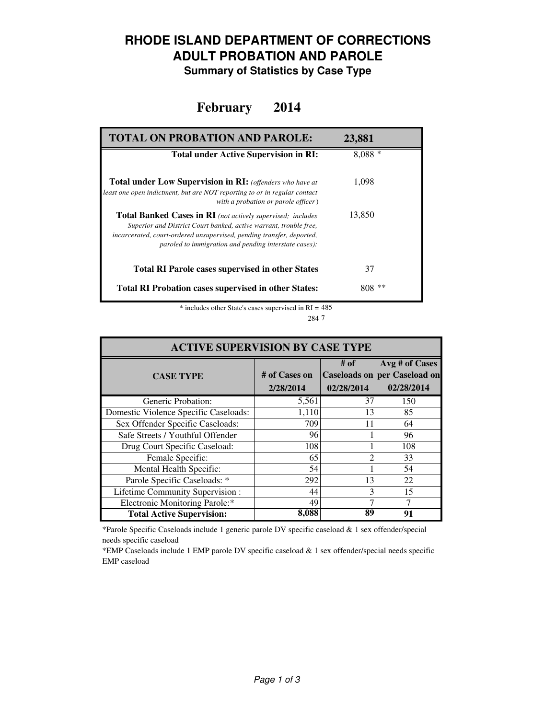### **RHODE ISLAND DEPARTMENT OF CORRECTIONS ADULT PROBATION AND PAROLE**

**Summary of Statistics by Case Type**

#### **February 2014**

| <b>TOTAL ON PROBATION AND PAROLE:</b>                                                                                                                                                                                                                                     | 23,881     |
|---------------------------------------------------------------------------------------------------------------------------------------------------------------------------------------------------------------------------------------------------------------------------|------------|
| <b>Total under Active Supervision in RI:</b>                                                                                                                                                                                                                              | $8.088*$   |
| <b>Total under Low Supervision in RI:</b> (offenders who have at<br>least one open indictment, but are NOT reporting to or in regular contact<br>with a probation or parole officer)                                                                                      | 1,098      |
| <b>Total Banked Cases in RI</b> (not actively supervised; includes<br>Superior and District Court banked, active warrant, trouble free,<br>incarcerated, court-ordered unsupervised, pending transfer, deported,<br>paroled to immigration and pending interstate cases): | 13,850     |
| <b>Total RI Parole cases supervised in other States</b>                                                                                                                                                                                                                   | 37         |
| <b>Total RI Probation cases supervised in other States:</b>                                                                                                                                                                                                               | **<br>808- |

 $*$  includes other State's cases supervised in RI =  $485$ 7 284

| <b>ACTIVE SUPERVISION BY CASE TYPE</b> |                            |                    |                                                              |  |  |
|----------------------------------------|----------------------------|--------------------|--------------------------------------------------------------|--|--|
| <b>CASE TYPE</b>                       | # of Cases on<br>2/28/2014 | # of<br>02/28/2014 | Avg # of Cases<br>Caseloads on per Caseload on<br>02/28/2014 |  |  |
| Generic Probation:                     | 5,561                      | 37                 | 150                                                          |  |  |
| Domestic Violence Specific Caseloads:  | 1,110                      | 13                 | 85                                                           |  |  |
| Sex Offender Specific Caseloads:       | 709                        | 11                 | 64                                                           |  |  |
| Safe Streets / Youthful Offender       | 96                         |                    | 96                                                           |  |  |
| Drug Court Specific Caseload:          | 108                        |                    | 108                                                          |  |  |
| Female Specific:                       | 65                         | ∍                  | 33                                                           |  |  |
| Mental Health Specific:                | 54                         |                    | 54                                                           |  |  |
| Parole Specific Caseloads: *           | 292                        | 13                 | 22                                                           |  |  |
| Lifetime Community Supervision:        | 44                         | 3                  | 15                                                           |  |  |
| Electronic Monitoring Parole:*         | 49                         |                    |                                                              |  |  |
| <b>Total Active Supervision:</b>       | 8,088                      | 89                 | 91                                                           |  |  |

\*Parole Specific Caseloads include 1 generic parole DV specific caseload & 1 sex offender/special needs specific caseload

\*EMP Caseloads include 1 EMP parole DV specific caseload & 1 sex offender/special needs specific EMP caseload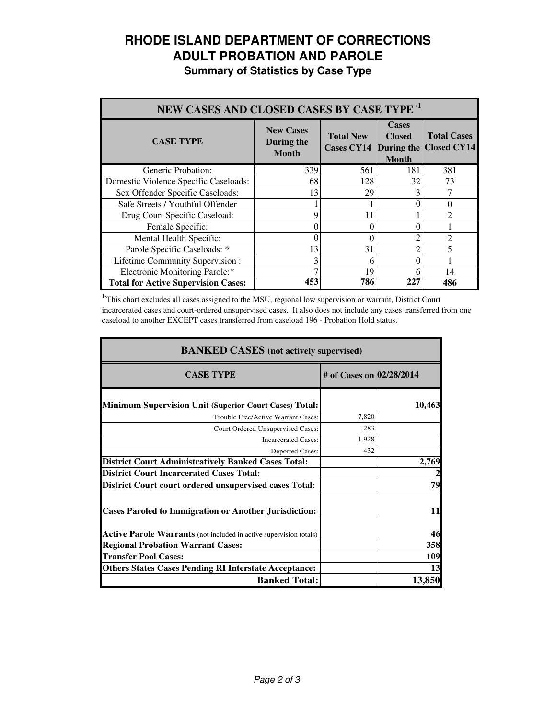# **RHODE ISLAND DEPARTMENT OF CORRECTIONS ADULT PROBATION AND PAROLE**

**Summary of Statistics by Case Type**

| NEW CASES AND CLOSED CASES BY CASE TYPE <sup>-1</sup> |                                                |                                                  |                                               |                                          |  |
|-------------------------------------------------------|------------------------------------------------|--------------------------------------------------|-----------------------------------------------|------------------------------------------|--|
| <b>CASE TYPE</b>                                      | <b>New Cases</b><br>During the<br><b>Month</b> | <b>Total New</b><br><b>Cases CY14</b> During the | <b>Cases</b><br><b>Closed</b><br><b>Month</b> | <b>Total Cases</b><br><b>Closed CY14</b> |  |
| Generic Probation:                                    | 339                                            | 561                                              | 181                                           | 381                                      |  |
| Domestic Violence Specific Caseloads:                 | 68                                             | 128                                              | 32                                            | 73                                       |  |
| Sex Offender Specific Caseloads:                      | 13                                             | 29                                               |                                               |                                          |  |
| Safe Streets / Youthful Offender                      |                                                |                                                  |                                               | 0                                        |  |
| Drug Court Specific Caseload:                         | 9                                              | 11                                               |                                               | っ                                        |  |
| Female Specific:                                      | 0                                              | 0                                                |                                               |                                          |  |
| Mental Health Specific:                               | 0                                              | 0                                                |                                               | $\mathcal{D}_{\mathcal{A}}$              |  |
| Parole Specific Caseloads: *                          | 13                                             | 31                                               |                                               |                                          |  |
| Lifetime Community Supervision:                       | 3                                              | 6                                                |                                               |                                          |  |
| Electronic Monitoring Parole:*                        |                                                | 19                                               | 6                                             | 14                                       |  |
| <b>Total for Active Supervision Cases:</b>            | 453                                            | 786                                              | 227                                           | 486                                      |  |

<sup>1</sup>This chart excludes all cases assigned to the MSU, regional low supervision or warrant, District Court incarcerated cases and court-ordered unsupervised cases. It also does not include any cases transferred from one caseload to another EXCEPT cases transferred from caseload 196 - Probation Hold status.

| <b>BANKED CASES</b> (not actively supervised)                      |                          |        |  |
|--------------------------------------------------------------------|--------------------------|--------|--|
| <b>CASE TYPE</b>                                                   | # of Cases on 02/28/2014 |        |  |
| <b>Minimum Supervision Unit (Superior Court Cases) Total:</b>      |                          | 10,463 |  |
| Trouble Free/Active Warrant Cases:                                 | 7,820                    |        |  |
| Court Ordered Unsupervised Cases:                                  | 283                      |        |  |
| <b>Incarcerated Cases:</b>                                         | 1,928                    |        |  |
| <b>Deported Cases:</b>                                             | 432                      |        |  |
| <b>District Court Administratively Banked Cases Total:</b>         |                          | 2,769  |  |
| <b>District Court Incarcerated Cases Total:</b>                    |                          |        |  |
| District Court court ordered unsupervised cases Total:             |                          | 79     |  |
| <b>Cases Paroled to Immigration or Another Jurisdiction:</b>       |                          | 11     |  |
| Active Parole Warrants (not included in active supervision totals) |                          | 46     |  |
| <b>Regional Probation Warrant Cases:</b>                           |                          | 358    |  |
| <b>Transfer Pool Cases:</b>                                        |                          | 109    |  |
| <b>Others States Cases Pending RI Interstate Acceptance:</b>       |                          | 13     |  |
| <b>Banked Total:</b>                                               |                          | 13,850 |  |